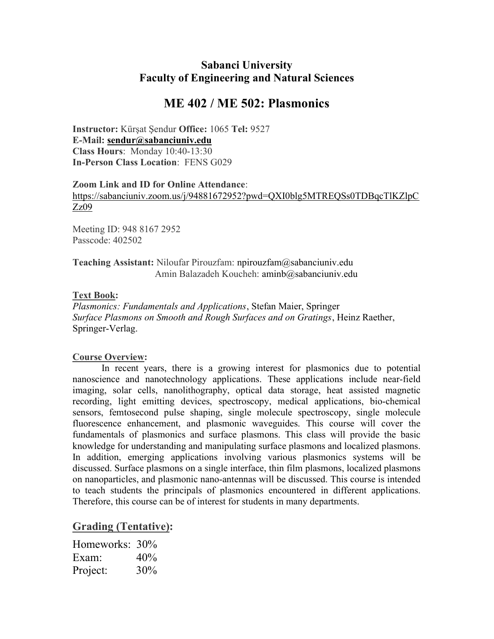### Sabanci University Faculty of Engineering and Natural Sciences

## ME 402 / ME 502: Plasmonics

Instructor: Kürşat Şendur Office: 1065 Tel: 9527 E-Mail: sendur@sabanciuniv.edu Class Hours: Monday 10:40-13:30 In-Person Class Location: FENS G029

Zoom Link and ID for Online Attendance: https://sabanciuniv.zoom.us/j/94881672952?pwd=QXI0blg5MTREQSs0TDBqcTlKZlpC

Zz09

Meeting ID: 948 8167 2952 Passcode: 402502

Teaching Assistant: Niloufar Pirouzfam: npirouzfam@sabanciuniv.edu Amin Balazadeh Koucheh: aminb@sabanciuniv.edu

#### Text Book:

Plasmonics: Fundamentals and Applications, Stefan Maier, Springer Surface Plasmons on Smooth and Rough Surfaces and on Gratings, Heinz Raether, Springer-Verlag.

#### Course Overview:

In recent years, there is a growing interest for plasmonics due to potential nanoscience and nanotechnology applications. These applications include near-field imaging, solar cells, nanolithography, optical data storage, heat assisted magnetic recording, light emitting devices, spectroscopy, medical applications, bio-chemical sensors, femtosecond pulse shaping, single molecule spectroscopy, single molecule fluorescence enhancement, and plasmonic waveguides. This course will cover the fundamentals of plasmonics and surface plasmons. This class will provide the basic knowledge for understanding and manipulating surface plasmons and localized plasmons. In addition, emerging applications involving various plasmonics systems will be discussed. Surface plasmons on a single interface, thin film plasmons, localized plasmons on nanoparticles, and plasmonic nano-antennas will be discussed. This course is intended to teach students the principals of plasmonics encountered in different applications. Therefore, this course can be of interest for students in many departments.

#### Grading (Tentative):

| Homeworks: 30% |     |
|----------------|-----|
| Exam:          | 40% |
| Project:       | 30% |